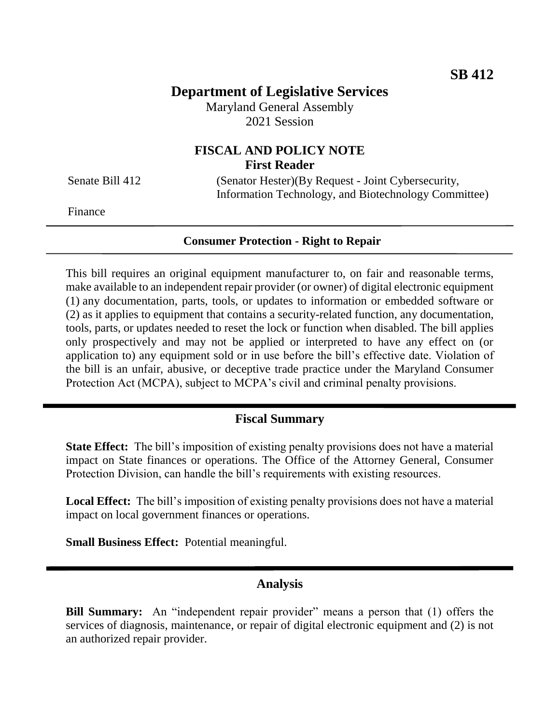## **Department of Legislative Services**

Maryland General Assembly 2021 Session

## **FISCAL AND POLICY NOTE First Reader**

Senate Bill 412 (Senator Hester)(By Request - Joint Cybersecurity, Information Technology, and Biotechnology Committee)

Finance

### **Consumer Protection - Right to Repair**

This bill requires an original equipment manufacturer to, on fair and reasonable terms, make available to an independent repair provider (or owner) of digital electronic equipment (1) any documentation, parts, tools, or updates to information or embedded software or (2) as it applies to equipment that contains a security-related function, any documentation, tools, parts, or updates needed to reset the lock or function when disabled. The bill applies only prospectively and may not be applied or interpreted to have any effect on (or application to) any equipment sold or in use before the bill's effective date. Violation of the bill is an unfair, abusive, or deceptive trade practice under the Maryland Consumer Protection Act (MCPA), subject to MCPA's civil and criminal penalty provisions.

#### **Fiscal Summary**

**State Effect:** The bill's imposition of existing penalty provisions does not have a material impact on State finances or operations. The Office of the Attorney General, Consumer Protection Division, can handle the bill's requirements with existing resources.

**Local Effect:** The bill's imposition of existing penalty provisions does not have a material impact on local government finances or operations.

**Small Business Effect:** Potential meaningful.

#### **Analysis**

**Bill Summary:** An "independent repair provider" means a person that (1) offers the services of diagnosis, maintenance, or repair of digital electronic equipment and (2) is not an authorized repair provider.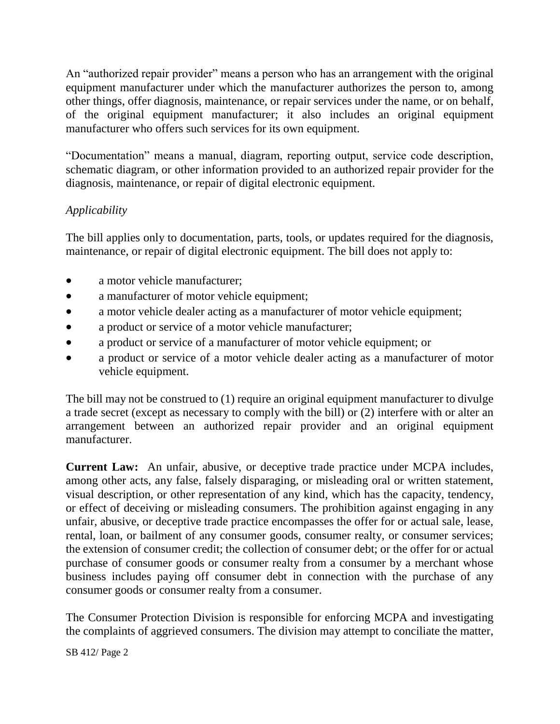An "authorized repair provider" means a person who has an arrangement with the original equipment manufacturer under which the manufacturer authorizes the person to, among other things, offer diagnosis, maintenance, or repair services under the name, or on behalf, of the original equipment manufacturer; it also includes an original equipment manufacturer who offers such services for its own equipment.

"Documentation" means a manual, diagram, reporting output, service code description, schematic diagram, or other information provided to an authorized repair provider for the diagnosis, maintenance, or repair of digital electronic equipment.

## *Applicability*

The bill applies only to documentation, parts, tools, or updates required for the diagnosis, maintenance, or repair of digital electronic equipment. The bill does not apply to:

- a motor vehicle manufacturer;
- a manufacturer of motor vehicle equipment;
- a motor vehicle dealer acting as a manufacturer of motor vehicle equipment;
- a product or service of a motor vehicle manufacturer;
- a product or service of a manufacturer of motor vehicle equipment; or
- a product or service of a motor vehicle dealer acting as a manufacturer of motor vehicle equipment.

The bill may not be construed to (1) require an original equipment manufacturer to divulge a trade secret (except as necessary to comply with the bill) or (2) interfere with or alter an arrangement between an authorized repair provider and an original equipment manufacturer.

**Current Law:** An unfair, abusive, or deceptive trade practice under MCPA includes, among other acts, any false, falsely disparaging, or misleading oral or written statement, visual description, or other representation of any kind, which has the capacity, tendency, or effect of deceiving or misleading consumers. The prohibition against engaging in any unfair, abusive, or deceptive trade practice encompasses the offer for or actual sale, lease, rental, loan, or bailment of any consumer goods, consumer realty, or consumer services; the extension of consumer credit; the collection of consumer debt; or the offer for or actual purchase of consumer goods or consumer realty from a consumer by a merchant whose business includes paying off consumer debt in connection with the purchase of any consumer goods or consumer realty from a consumer.

The Consumer Protection Division is responsible for enforcing MCPA and investigating the complaints of aggrieved consumers. The division may attempt to conciliate the matter,